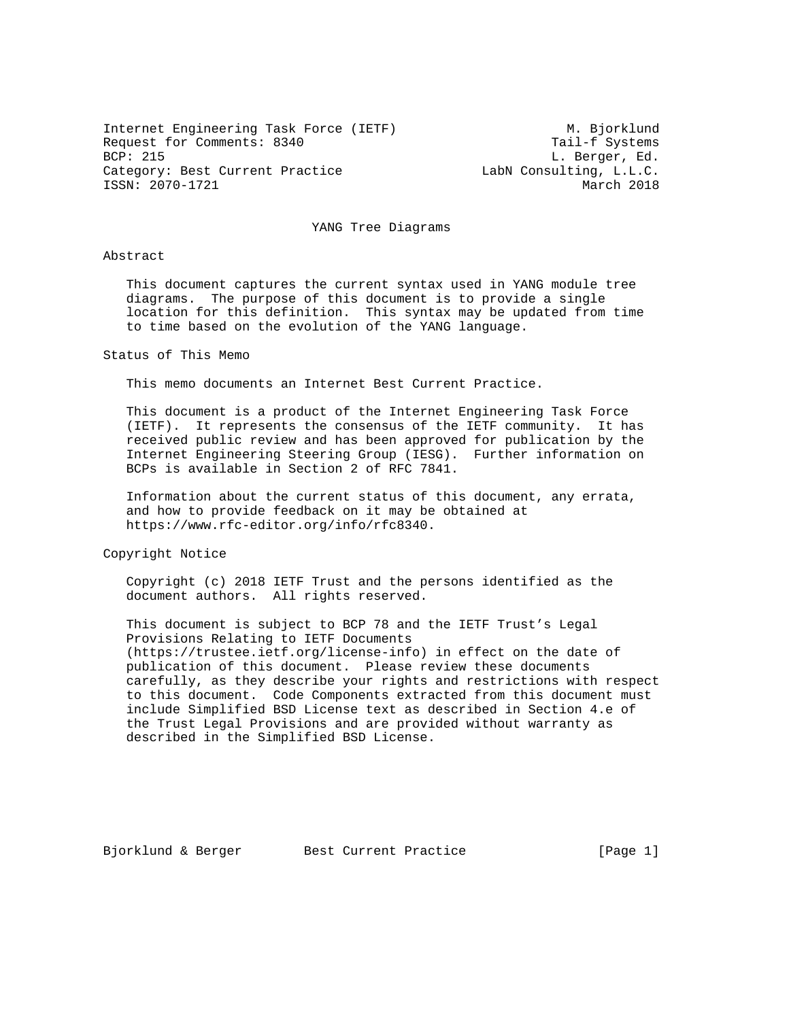Internet Engineering Task Force (IETF) M. Bjorklund Request for Comments: 8340 Tail-f Systems<br>BCP: 215 L. Berger, Ed. BCP: 215 L. Berger, Ed. Category: Best Current Practice The LabN Consulting, L.L.C. ISSN: 2070-1721 March 2018

## YANG Tree Diagrams

Abstract

 This document captures the current syntax used in YANG module tree diagrams. The purpose of this document is to provide a single location for this definition. This syntax may be updated from time to time based on the evolution of the YANG language.

Status of This Memo

This memo documents an Internet Best Current Practice.

 This document is a product of the Internet Engineering Task Force (IETF). It represents the consensus of the IETF community. It has received public review and has been approved for publication by the Internet Engineering Steering Group (IESG). Further information on BCPs is available in Section 2 of RFC 7841.

 Information about the current status of this document, any errata, and how to provide feedback on it may be obtained at https://www.rfc-editor.org/info/rfc8340.

Copyright Notice

 Copyright (c) 2018 IETF Trust and the persons identified as the document authors. All rights reserved.

 This document is subject to BCP 78 and the IETF Trust's Legal Provisions Relating to IETF Documents (https://trustee.ietf.org/license-info) in effect on the date of publication of this document. Please review these documents carefully, as they describe your rights and restrictions with respect to this document. Code Components extracted from this document must include Simplified BSD License text as described in Section 4.e of the Trust Legal Provisions and are provided without warranty as described in the Simplified BSD License.

Bjorklund & Berger Best Current Practice [Page 1]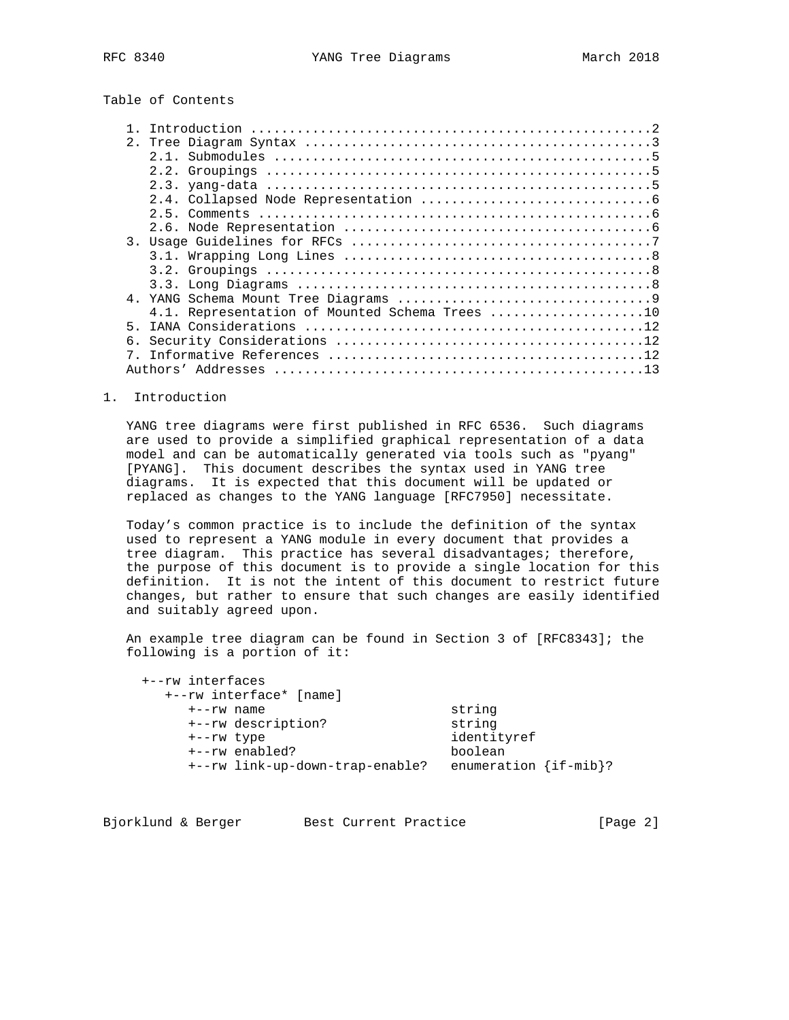# Table of Contents

|    | 4.1. Representation of Mounted Schema Trees 10 |
|----|------------------------------------------------|
| 5  |                                                |
| б. |                                                |
|    |                                                |
|    |                                                |
|    |                                                |

### 1. Introduction

 YANG tree diagrams were first published in RFC 6536. Such diagrams are used to provide a simplified graphical representation of a data model and can be automatically generated via tools such as "pyang" [PYANG]. This document describes the syntax used in YANG tree diagrams. It is expected that this document will be updated or replaced as changes to the YANG language [RFC7950] necessitate.

 Today's common practice is to include the definition of the syntax used to represent a YANG module in every document that provides a tree diagram. This practice has several disadvantages; therefore, the purpose of this document is to provide a single location for this definition. It is not the intent of this document to restrict future changes, but rather to ensure that such changes are easily identified and suitably agreed upon.

 An example tree diagram can be found in Section 3 of [RFC8343]; the following is a portion of it:

| +--rw interfaces<br>+--rw interface* [name] |                             |
|---------------------------------------------|-----------------------------|
| $+ -r$ w name                               | string                      |
| +--rw description?                          | string                      |
| +--rw type                                  | identityref                 |
| +--rw enabled?                              | boolean                     |
| +--rw link-up-down-trap-enable?             | enumeration $\{if -mib\}$ ? |

| Bjorklund & Berger<br>Best Current Practice | [Page 2] |  |
|---------------------------------------------|----------|--|
|---------------------------------------------|----------|--|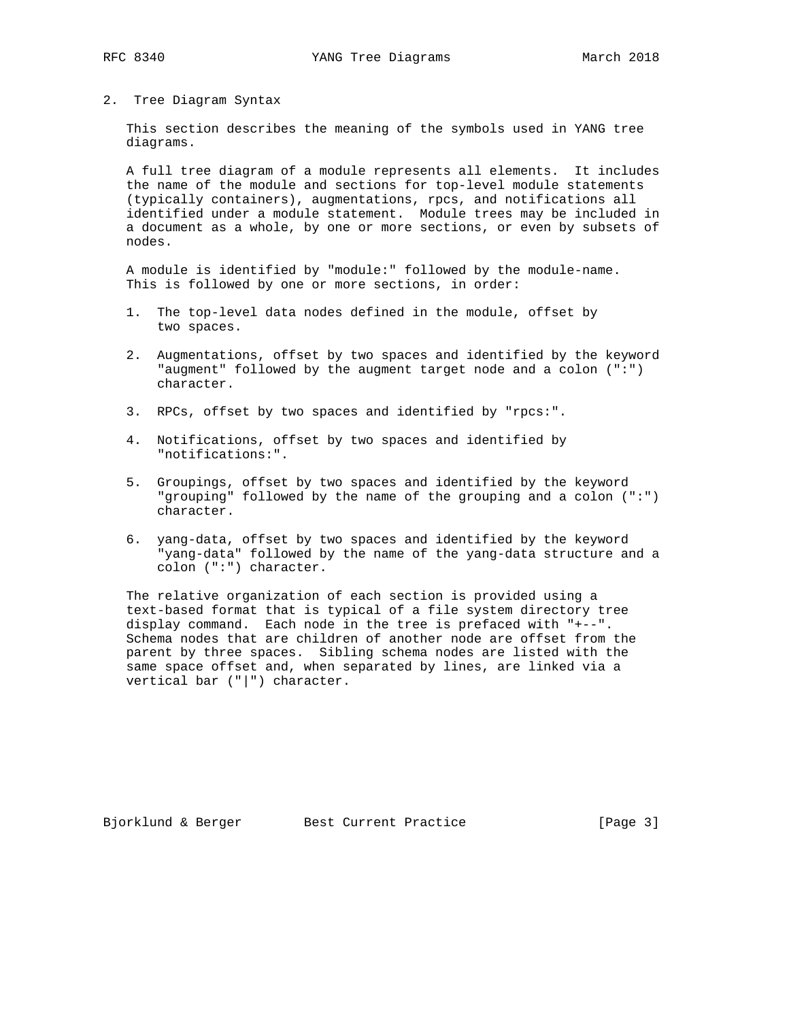## 2. Tree Diagram Syntax

 This section describes the meaning of the symbols used in YANG tree diagrams.

 A full tree diagram of a module represents all elements. It includes the name of the module and sections for top-level module statements (typically containers), augmentations, rpcs, and notifications all identified under a module statement. Module trees may be included in a document as a whole, by one or more sections, or even by subsets of nodes.

 A module is identified by "module:" followed by the module-name. This is followed by one or more sections, in order:

- 1. The top-level data nodes defined in the module, offset by two spaces.
- 2. Augmentations, offset by two spaces and identified by the keyword "augment" followed by the augment target node and a colon (":") character.
- 3. RPCs, offset by two spaces and identified by "rpcs:".
- 4. Notifications, offset by two spaces and identified by "notifications:".
- 5. Groupings, offset by two spaces and identified by the keyword "grouping" followed by the name of the grouping and a colon (":") character.
- 6. yang-data, offset by two spaces and identified by the keyword "yang-data" followed by the name of the yang-data structure and a colon (":") character.

 The relative organization of each section is provided using a text-based format that is typical of a file system directory tree display command. Each node in the tree is prefaced with "+--". Schema nodes that are children of another node are offset from the parent by three spaces. Sibling schema nodes are listed with the same space offset and, when separated by lines, are linked via a vertical bar ("|") character.

Bjorklund & Berger Best Current Practice [Page 3]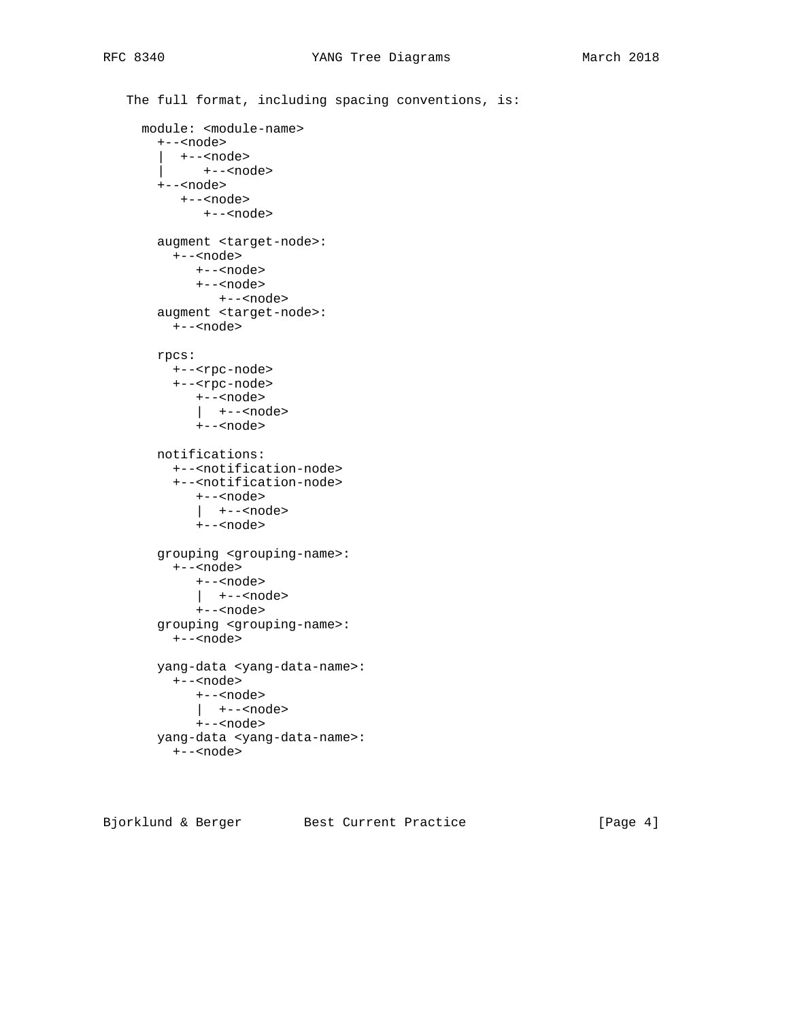```
 The full format, including spacing conventions, is:
  module: <module-name>
    +--<node>
      | +--<node>
        | +--<node>
    +--<node>
      +--<node>
         +--<node>
    augment <target-node>:
      +--<node>
         +--<node>
        +--<node>
           +--<node>
    augment <target-node>:
     +--<node>
    rpcs:
      +--<rpc-node>
      +--<rpc-node>
         +--<node>
         | +--<node>
         +--<node>
    notifications:
      +--<notification-node>
      +--<notification-node>
         +--<node>
         | +--<node>
         +--<node>
    grouping <grouping-name>:
      +--<node>
        +--<node>
         | +--<node>
         +--<node>
    grouping <grouping-name>:
      +--<node>
    yang-data <yang-data-name>:
      +--<node>
         +--<node>
         | +--<node>
         +--<node>
    yang-data <yang-data-name>:
      +--<node>
```
Bjorklund & Berger Best Current Practice [Page 4]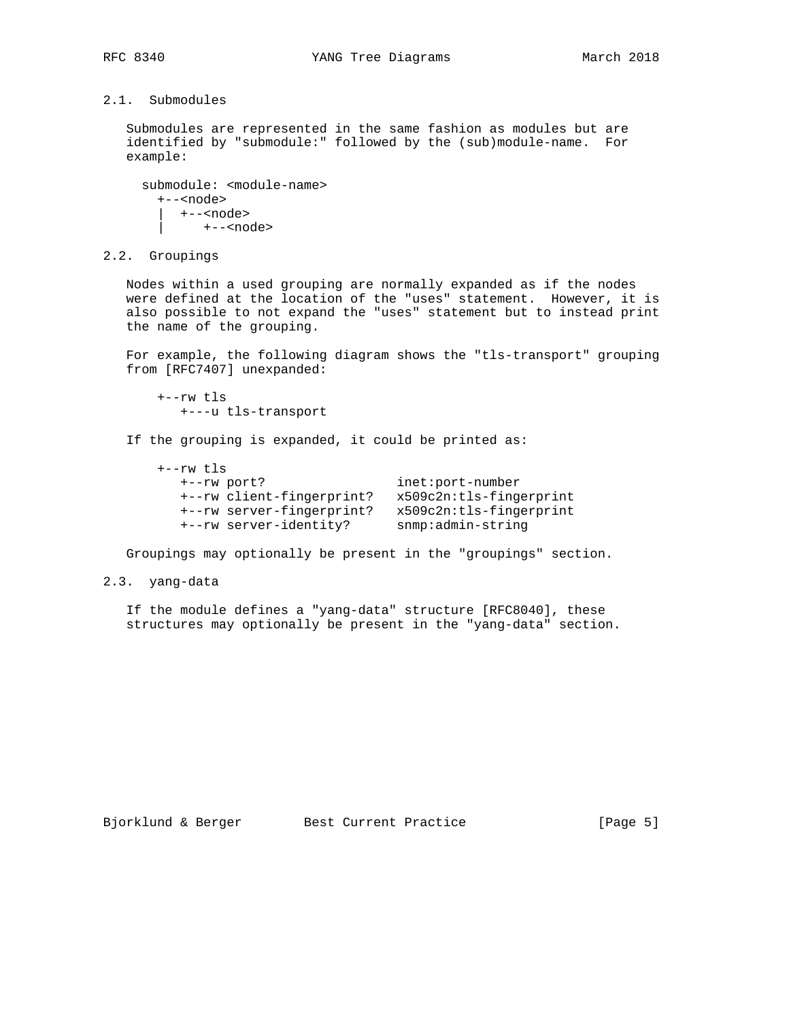# 2.1. Submodules

 Submodules are represented in the same fashion as modules but are identified by "submodule:" followed by the (sub)module-name. For example:

```
 submodule: <module-name>
  +--<node>
    | +--<node>
        | +--<node>
```
2.2. Groupings

 Nodes within a used grouping are normally expanded as if the nodes were defined at the location of the "uses" statement. However, it is also possible to not expand the "uses" statement but to instead print the name of the grouping.

 For example, the following diagram shows the "tls-transport" grouping from [RFC7407] unexpanded:

 +--rw tls +---u tls-transport

If the grouping is expanded, it could be printed as:

 +--rw tls +--rw port? inet:port-number +--rw client-fingerprint? x509c2n:tls-fingerprint +--rw server-fingerprint? x509c2n:tls-fingerprint +--rw server-identity? snmp:admin-string

Groupings may optionally be present in the "groupings" section.

## 2.3. yang-data

 If the module defines a "yang-data" structure [RFC8040], these structures may optionally be present in the "yang-data" section.

Bjorklund & Berger Best Current Practice [Page 5]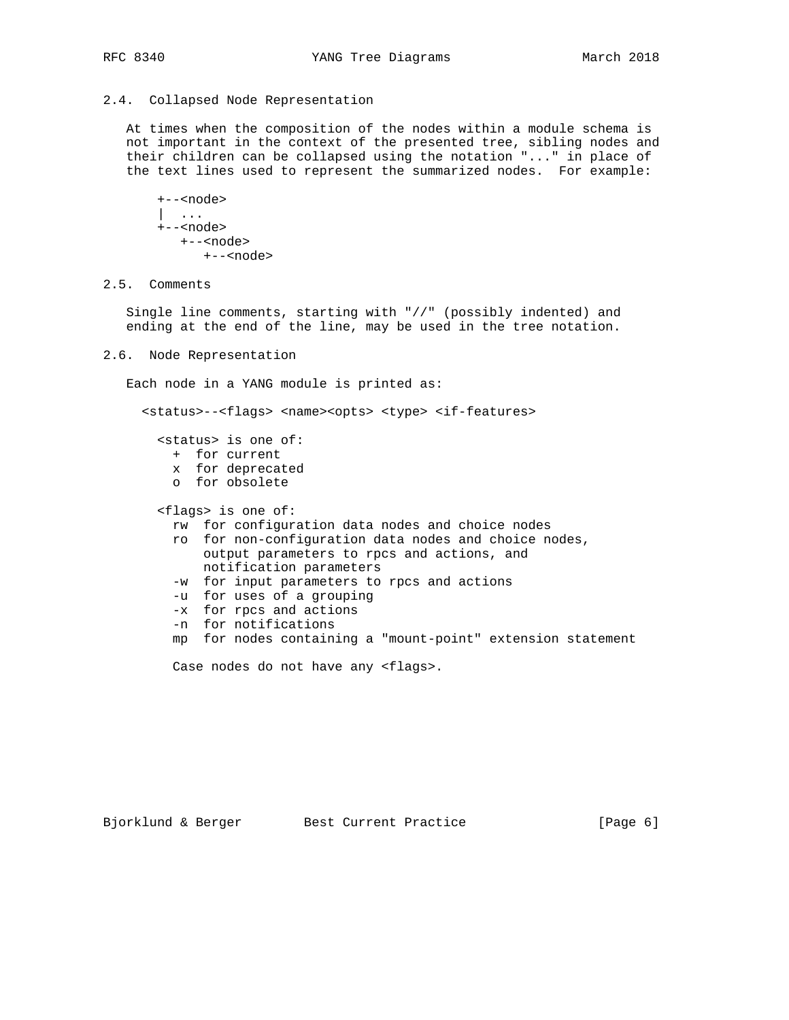## 2.4. Collapsed Node Representation

 At times when the composition of the nodes within a module schema is not important in the context of the presented tree, sibling nodes and their children can be collapsed using the notation "..." in place of the text lines used to represent the summarized nodes. For example:

 +--<node> | ... +--<node> +--<node> +--<node>

2.5. Comments

 Single line comments, starting with "//" (possibly indented) and ending at the end of the line, may be used in the tree notation.

2.6. Node Representation

Each node in a YANG module is printed as:

Case nodes do not have any <flags>.

 <status>--<flags> <name><opts> <type> <if-features> <status> is one of: + for current x for deprecated o for obsolete <flags> is one of: rw for configuration data nodes and choice nodes ro for non-configuration data nodes and choice nodes, output parameters to rpcs and actions, and notification parameters -w for input parameters to rpcs and actions -u for uses of a grouping -x for rpcs and actions -n for notifications mp for nodes containing a "mount-point" extension statement

Bjorklund & Berger Best Current Practice [Page 6]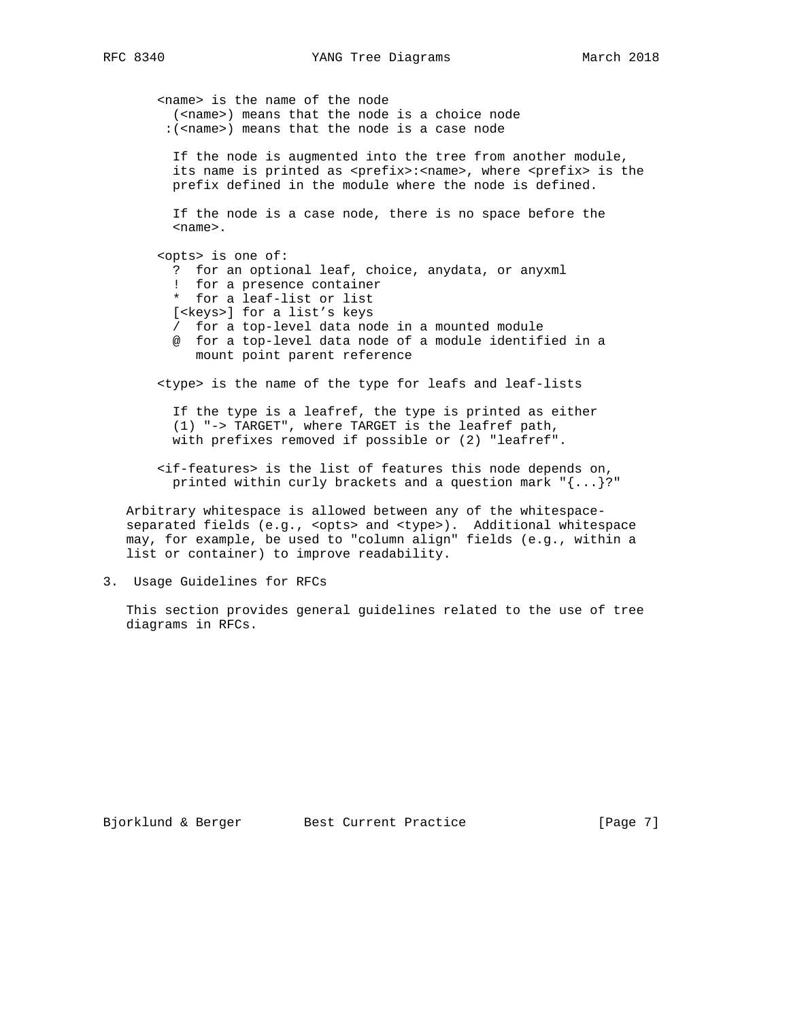<name> is the name of the node (<name>) means that the node is a choice node :(<name>) means that the node is a case node

 If the node is augmented into the tree from another module, its name is printed as <prefix>:<name>, where <prefix> is the prefix defined in the module where the node is defined.

 If the node is a case node, there is no space before the <name>.

 <opts> is one of: ? for an optional leaf, choice, anydata, or anyxml ! for a presence container \* for a leaf-list or list [<keys>] for a list's keys / for a top-level data node in a mounted module @ for a top-level data node of a module identified in a mount point parent reference

<type> is the name of the type for leafs and leaf-lists

 If the type is a leafref, the type is printed as either (1) "-> TARGET", where TARGET is the leafref path, with prefixes removed if possible or (2) "leafref".

 <if-features> is the list of features this node depends on, printed within curly brackets and a question mark "{...}?"

 Arbitrary whitespace is allowed between any of the whitespace separated fields (e.g., <opts> and <type>). Additional whitespace may, for example, be used to "column align" fields (e.g., within a list or container) to improve readability.

3. Usage Guidelines for RFCs

 This section provides general guidelines related to the use of tree diagrams in RFCs.

Bjorklund & Berger Best Current Practice [Page 7]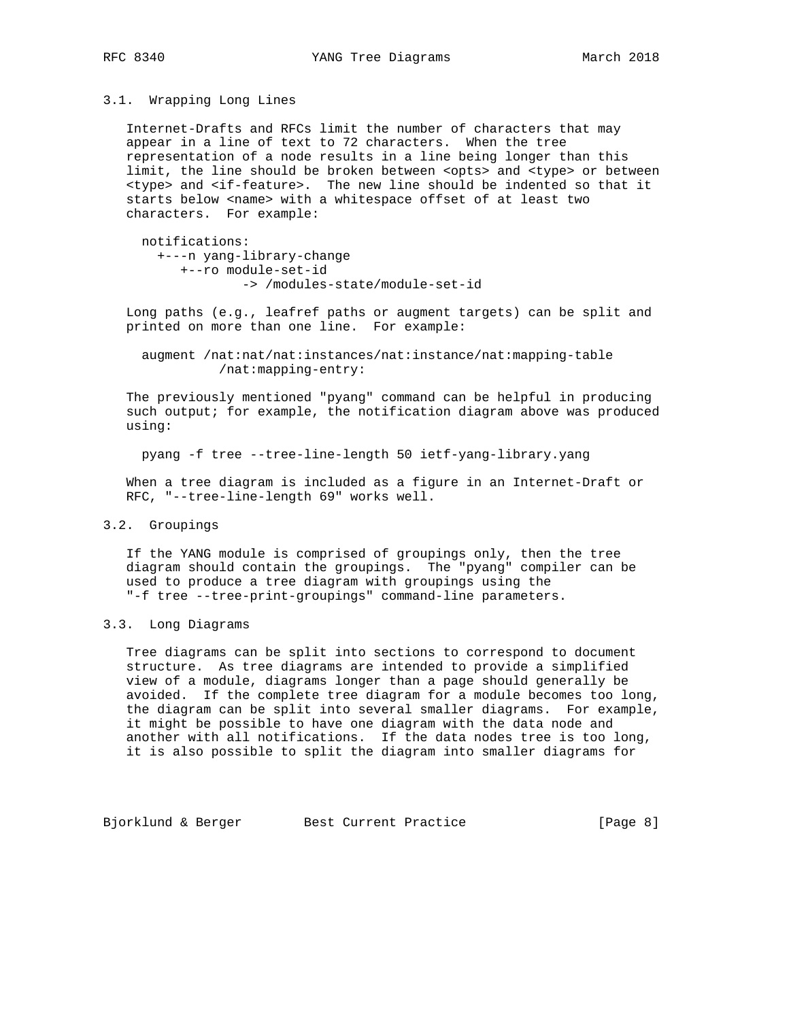### 3.1. Wrapping Long Lines

 Internet-Drafts and RFCs limit the number of characters that may appear in a line of text to 72 characters. When the tree representation of a node results in a line being longer than this limit, the line should be broken between <opts> and <type> or between <type> and <if-feature>. The new line should be indented so that it starts below <name> with a whitespace offset of at least two characters. For example:

 notifications: +---n yang-library-change +--ro module-set-id -> /modules-state/module-set-id

 Long paths (e.g., leafref paths or augment targets) can be split and printed on more than one line. For example:

 augment /nat:nat/nat:instances/nat:instance/nat:mapping-table /nat:mapping-entry:

 The previously mentioned "pyang" command can be helpful in producing such output; for example, the notification diagram above was produced using:

pyang -f tree --tree-line-length 50 ietf-yang-library.yang

 When a tree diagram is included as a figure in an Internet-Draft or RFC, "--tree-line-length 69" works well.

## 3.2. Groupings

 If the YANG module is comprised of groupings only, then the tree diagram should contain the groupings. The "pyang" compiler can be used to produce a tree diagram with groupings using the "-f tree --tree-print-groupings" command-line parameters.

#### 3.3. Long Diagrams

 Tree diagrams can be split into sections to correspond to document structure. As tree diagrams are intended to provide a simplified view of a module, diagrams longer than a page should generally be avoided. If the complete tree diagram for a module becomes too long, the diagram can be split into several smaller diagrams. For example, it might be possible to have one diagram with the data node and another with all notifications. If the data nodes tree is too long, it is also possible to split the diagram into smaller diagrams for

Bjorklund & Berger Best Current Practice [Page 8]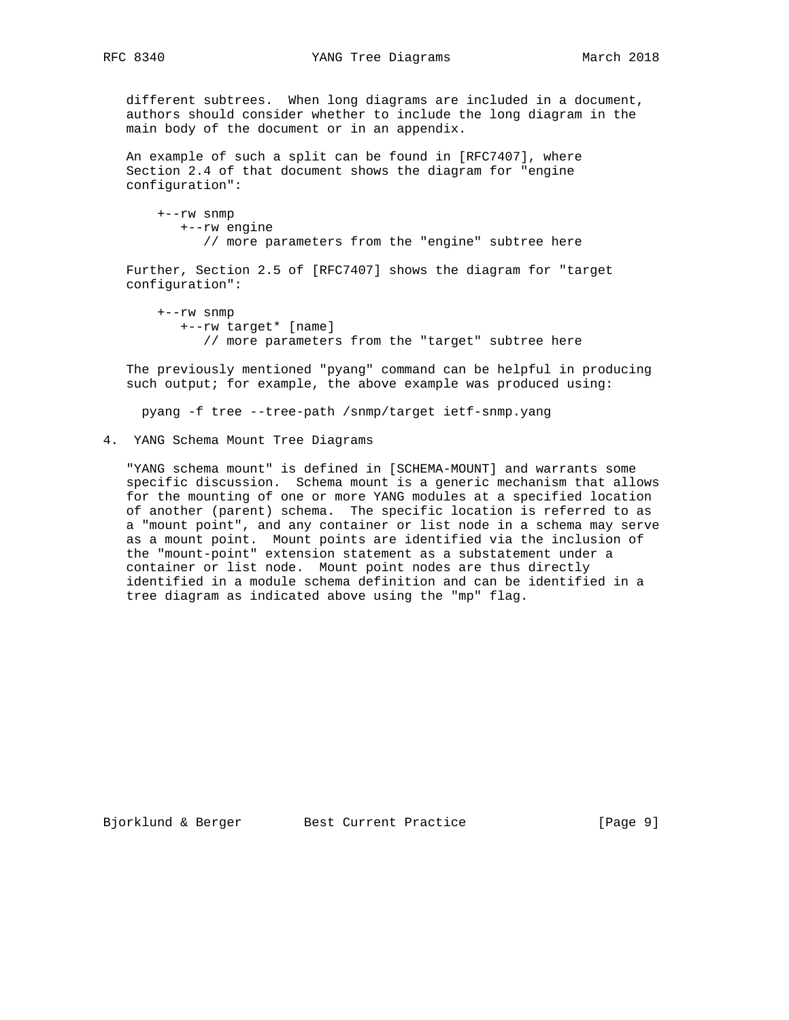different subtrees. When long diagrams are included in a document, authors should consider whether to include the long diagram in the main body of the document or in an appendix.

 An example of such a split can be found in [RFC7407], where Section 2.4 of that document shows the diagram for "engine configuration":

 +--rw snmp +--rw engine // more parameters from the "engine" subtree here

 Further, Section 2.5 of [RFC7407] shows the diagram for "target configuration":

 +--rw snmp +--rw target\* [name] // more parameters from the "target" subtree here

 The previously mentioned "pyang" command can be helpful in producing such output; for example, the above example was produced using:

pyang -f tree --tree-path /snmp/target ietf-snmp.yang

4. YANG Schema Mount Tree Diagrams

 "YANG schema mount" is defined in [SCHEMA-MOUNT] and warrants some specific discussion. Schema mount is a generic mechanism that allows for the mounting of one or more YANG modules at a specified location of another (parent) schema. The specific location is referred to as a "mount point", and any container or list node in a schema may serve as a mount point. Mount points are identified via the inclusion of the "mount-point" extension statement as a substatement under a container or list node. Mount point nodes are thus directly identified in a module schema definition and can be identified in a tree diagram as indicated above using the "mp" flag.

Bjorklund & Berger Best Current Practice [Page 9]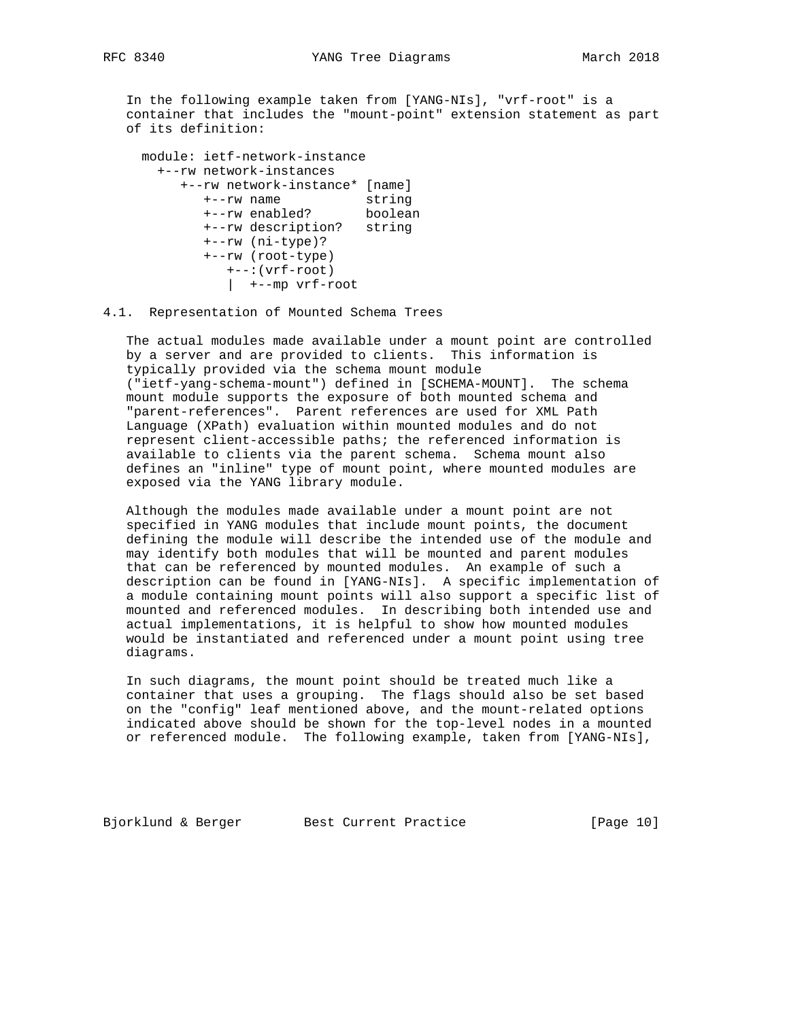In the following example taken from [YANG-NIs], "vrf-root" is a container that includes the "mount-point" extension statement as part of its definition:

 module: ietf-network-instance +--rw network-instances +--rw network-instance\* [name] +--rw name string +--rw enabled? boolean +--rw description? string +--rw (ni-type)? +--rw (root-type) +--:(vrf-root) | +--mp vrf-root

## 4.1. Representation of Mounted Schema Trees

 The actual modules made available under a mount point are controlled by a server and are provided to clients. This information is typically provided via the schema mount module ("ietf-yang-schema-mount") defined in [SCHEMA-MOUNT]. The schema mount module supports the exposure of both mounted schema and "parent-references". Parent references are used for XML Path Language (XPath) evaluation within mounted modules and do not represent client-accessible paths; the referenced information is available to clients via the parent schema. Schema mount also defines an "inline" type of mount point, where mounted modules are exposed via the YANG library module.

 Although the modules made available under a mount point are not specified in YANG modules that include mount points, the document defining the module will describe the intended use of the module and may identify both modules that will be mounted and parent modules that can be referenced by mounted modules. An example of such a description can be found in [YANG-NIs]. A specific implementation of a module containing mount points will also support a specific list of mounted and referenced modules. In describing both intended use and actual implementations, it is helpful to show how mounted modules would be instantiated and referenced under a mount point using tree diagrams.

 In such diagrams, the mount point should be treated much like a container that uses a grouping. The flags should also be set based on the "config" leaf mentioned above, and the mount-related options indicated above should be shown for the top-level nodes in a mounted or referenced module. The following example, taken from [YANG-NIs],

Bjorklund & Berger Best Current Practice [Page 10]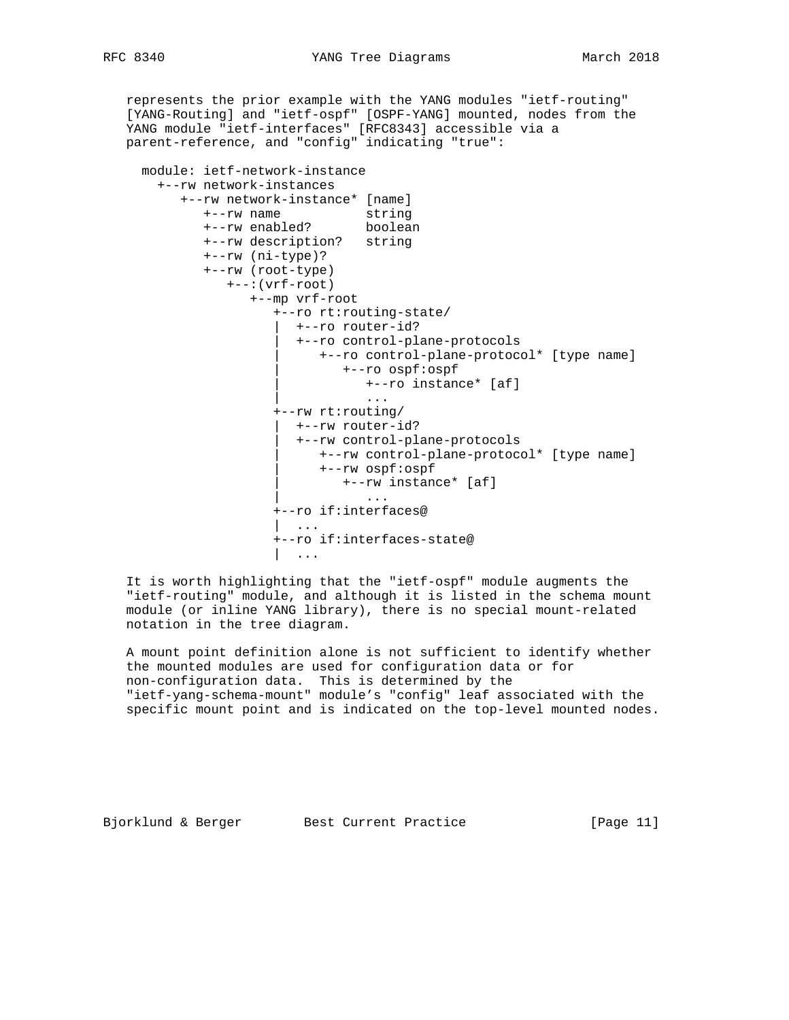represents the prior example with the YANG modules "ietf-routing" [YANG-Routing] and "ietf-ospf" [OSPF-YANG] mounted, nodes from the YANG module "ietf-interfaces" [RFC8343] accessible via a parent-reference, and "config" indicating "true":

```
 module: ietf-network-instance
      +--rw network-instances
        +--rw network-instance* [name]
+--rw name string
+--rw enabled? boolean
           +--rw description? string
           +--rw (ni-type)?
           +--rw (root-type)
              +--:(vrf-root)
                 +--mp vrf-root
                    +--ro rt:routing-state/
                      | +--ro router-id?
                      | +--ro control-plane-protocols
                         | +--ro control-plane-protocol* [type name]
                            | +--ro ospf:ospf
                              | +--ro instance* [af]
| ...
                    +--rw rt:routing/
                     | +--rw router-id?
                      | +--rw control-plane-protocols
                         | +--rw control-plane-protocol* [type name]
                         | +--rw ospf:ospf
                            | +--rw instance* [af]
| ...
                    +--ro if:interfaces@
                    | ...
                    +--ro if:interfaces-state@
                    | ...
```
 It is worth highlighting that the "ietf-ospf" module augments the "ietf-routing" module, and although it is listed in the schema mount module (or inline YANG library), there is no special mount-related notation in the tree diagram.

 A mount point definition alone is not sufficient to identify whether the mounted modules are used for configuration data or for non-configuration data. This is determined by the "ietf-yang-schema-mount" module's "config" leaf associated with the specific mount point and is indicated on the top-level mounted nodes.

Bjorklund & Berger Best Current Practice [Page 11]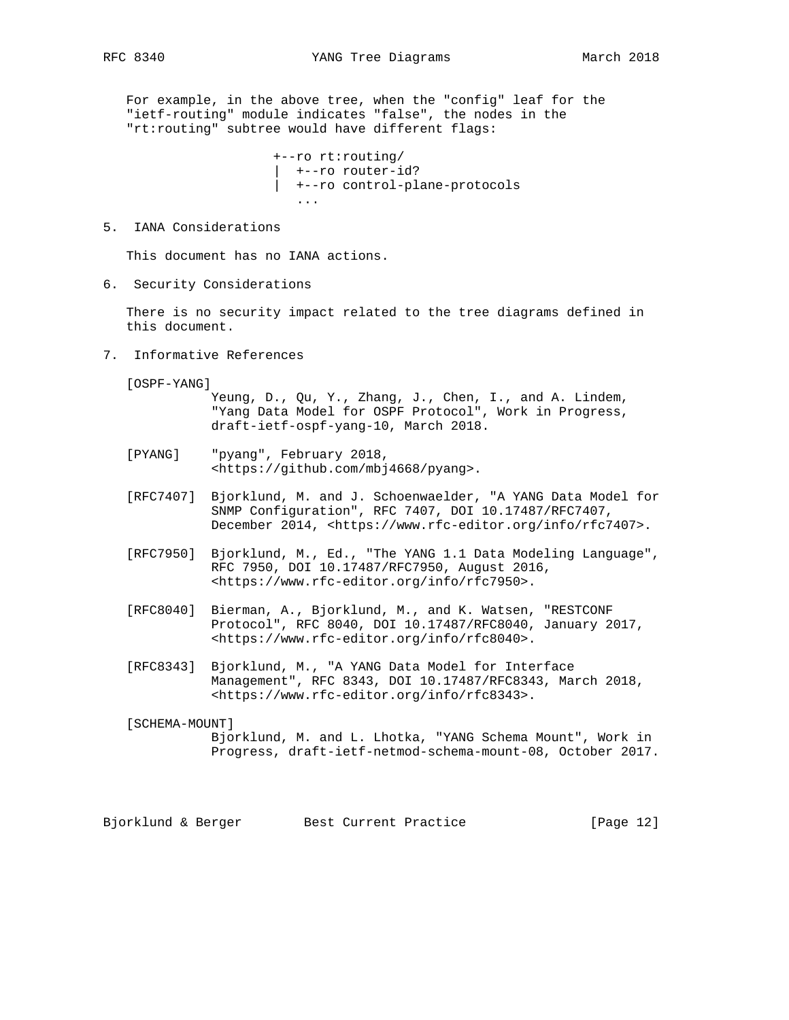For example, in the above tree, when the "config" leaf for the "ietf-routing" module indicates "false", the nodes in the "rt:routing" subtree would have different flags:

 +--ro rt:routing/ | +--ro router-id? | +--ro control-plane-protocols ...

## 5. IANA Considerations

This document has no IANA actions.

6. Security Considerations

 There is no security impact related to the tree diagrams defined in this document.

- 7. Informative References
	- [OSPF-YANG]

 Yeung, D., Qu, Y., Zhang, J., Chen, I., and A. Lindem, "Yang Data Model for OSPF Protocol", Work in Progress, draft-ietf-ospf-yang-10, March 2018.

- [PYANG] "pyang", February 2018, <https://github.com/mbj4668/pyang>.
- [RFC7407] Bjorklund, M. and J. Schoenwaelder, "A YANG Data Model for SNMP Configuration", RFC 7407, DOI 10.17487/RFC7407, December 2014, <https://www.rfc-editor.org/info/rfc7407>.
- [RFC7950] Bjorklund, M., Ed., "The YANG 1.1 Data Modeling Language", RFC 7950, DOI 10.17487/RFC7950, August 2016, <https://www.rfc-editor.org/info/rfc7950>.
- [RFC8040] Bierman, A., Bjorklund, M., and K. Watsen, "RESTCONF Protocol", RFC 8040, DOI 10.17487/RFC8040, January 2017, <https://www.rfc-editor.org/info/rfc8040>.
- [RFC8343] Bjorklund, M., "A YANG Data Model for Interface Management", RFC 8343, DOI 10.17487/RFC8343, March 2018, <https://www.rfc-editor.org/info/rfc8343>.

[SCHEMA-MOUNT]

 Bjorklund, M. and L. Lhotka, "YANG Schema Mount", Work in Progress, draft-ietf-netmod-schema-mount-08, October 2017.

Bjorklund & Berger Best Current Practice [Page 12]